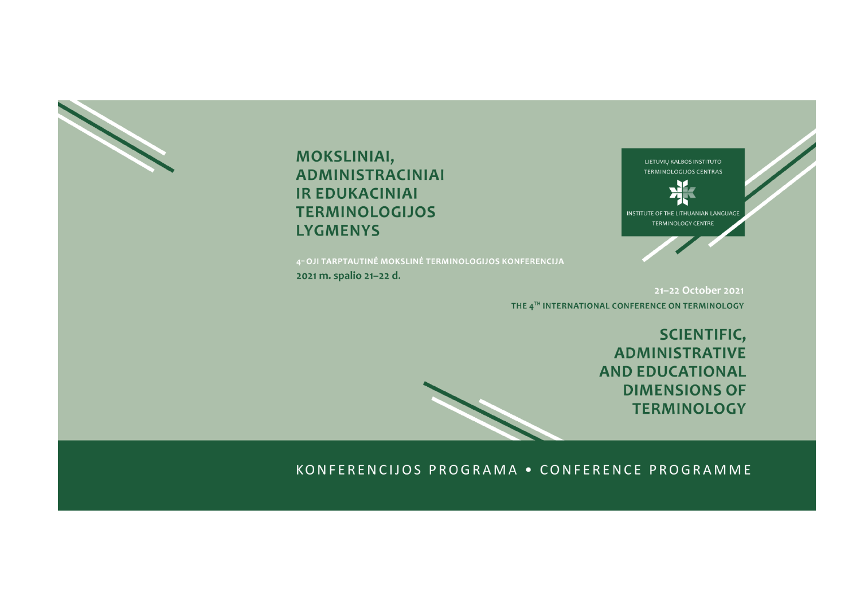# **MOKSLINIAI, ADMINISTRACINIAI IR EDUKACINIAI TERMINOLOGIJOS LYGMENYS**

4-OJI TARPTAUTINĖ MOKSLINĖ TERMINOLOGIJOS KONFERENCIJA

2021 m. spalio 21-22 d.



21-22 October 2021 THE 4TH INTERNATIONAL CONFERENCE ON TERMINOLOGY

> **SCIENTIFIC, ADMINISTRATIVE AND EDUCATIONAL DIMENSIONS OF TERMINOLOGY**

## KONFERENCIJOS PROGRAMA . CONFERENCE PROGRAMME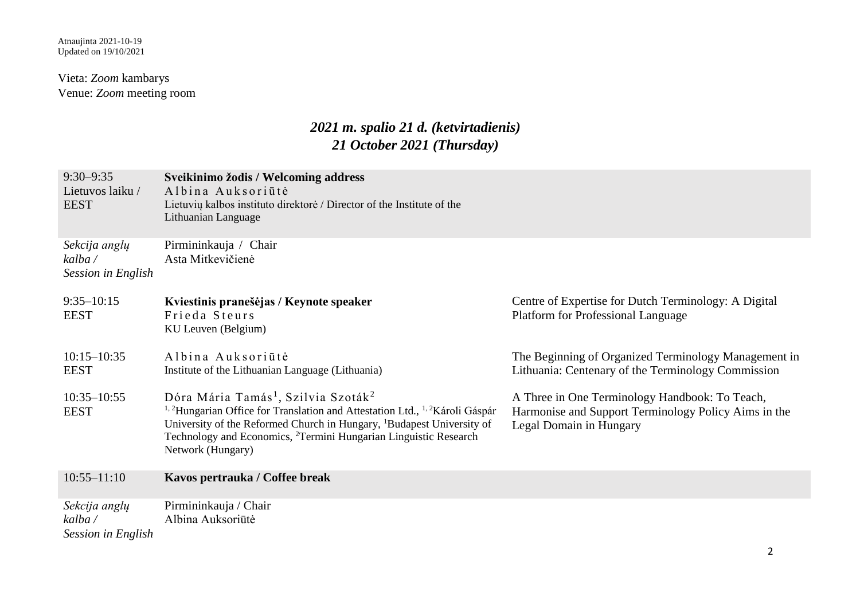### Vieta: *Zoom* kambarys Venue: *Zoom* meeting room

## *2021 m. spalio 21 d. (ketvirtadienis) 21 October 2021 (Thursday)*

| $9:30 - 9:35$<br>Lietuvos laiku /<br><b>EEST</b> | Sveikinimo žodis / Welcoming address<br>Albina Auksoriūtė<br>Lietuvių kalbos instituto direktorė / Director of the Institute of the<br>Lithuanian Language                                                                                                                                                                                                    |                                                                                                                                   |
|--------------------------------------------------|---------------------------------------------------------------------------------------------------------------------------------------------------------------------------------------------------------------------------------------------------------------------------------------------------------------------------------------------------------------|-----------------------------------------------------------------------------------------------------------------------------------|
| Sekcija anglų<br>kalba /<br>Session in English   | Pirmininkauja / Chair<br>Asta Mitkevičienė                                                                                                                                                                                                                                                                                                                    |                                                                                                                                   |
| $9:35 - 10:15$<br><b>EEST</b>                    | Kviestinis pranešėjas / Keynote speaker<br>Frieda Steurs<br>KU Leuven (Belgium)                                                                                                                                                                                                                                                                               | Centre of Expertise for Dutch Terminology: A Digital<br><b>Platform for Professional Language</b>                                 |
| $10:15 - 10:35$<br><b>EEST</b>                   | Albina Auksoriūtė<br>Institute of the Lithuanian Language (Lithuania)                                                                                                                                                                                                                                                                                         | The Beginning of Organized Terminology Management in<br>Lithuania: Centenary of the Terminology Commission                        |
| $10:35 - 10:55$<br><b>EEST</b>                   | Dóra Mária Tamás <sup>1</sup> , Szilvia Szoták <sup>2</sup><br><sup>1, 2</sup> Hungarian Office for Translation and Attestation Ltd., <sup>1, 2</sup> Károli Gáspár<br>University of the Reformed Church in Hungary, <sup>1</sup> Budapest University of<br>Technology and Economics, <sup>2</sup> Termini Hungarian Linguistic Research<br>Network (Hungary) | A Three in One Terminology Handbook: To Teach,<br>Harmonise and Support Terminology Policy Aims in the<br>Legal Domain in Hungary |
| $10:55 - 11:10$                                  | Kavos pertrauka / Coffee break                                                                                                                                                                                                                                                                                                                                |                                                                                                                                   |
| Sekcija anglų<br>kalba /<br>Session in English   | Pirmininkauja / Chair<br>Albina Auksoriūtė                                                                                                                                                                                                                                                                                                                    |                                                                                                                                   |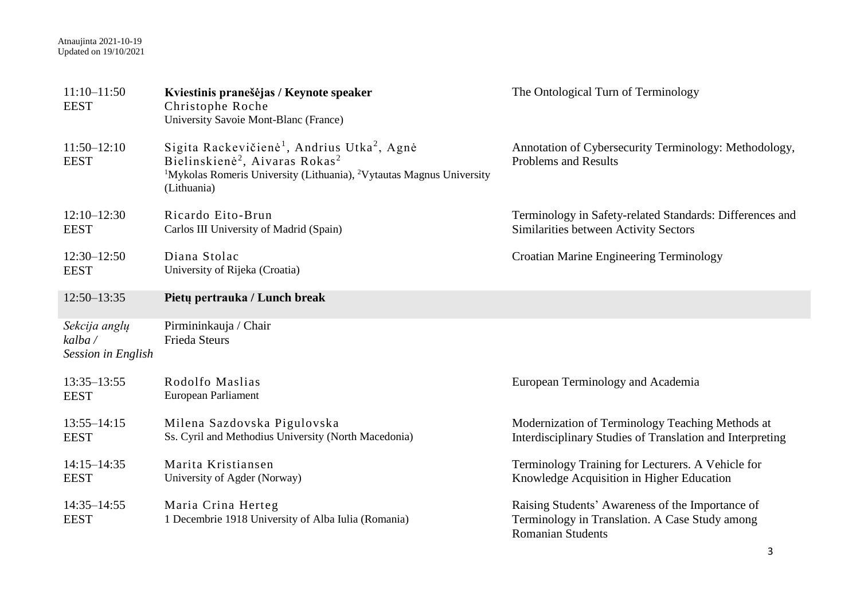#### Atnaujinta 2021-10-19 Updated on 19/10/2021

| $11:10-11:50$<br><b>EEST</b>                   | Kviestinis pranešėjas / Keynote speaker<br>Christophe Roche<br>University Savoie Mont-Blanc (France)                                                                                                                                         | The Ontological Turn of Terminology                                                                                            |
|------------------------------------------------|----------------------------------------------------------------------------------------------------------------------------------------------------------------------------------------------------------------------------------------------|--------------------------------------------------------------------------------------------------------------------------------|
| $11:50 - 12:10$<br><b>EEST</b>                 | Sigita Rackevičienė <sup>1</sup> , Andrius Utka <sup>2</sup> , Agnė<br>Bielinskienė <sup>2</sup> , Aivaras Rokas <sup>2</sup><br><sup>1</sup> Mykolas Romeris University (Lithuania), <sup>2</sup> Vytautas Magnus University<br>(Lithuania) | Annotation of Cybersecurity Terminology: Methodology,<br><b>Problems and Results</b>                                           |
| $12:10 - 12:30$<br><b>EEST</b>                 | Ricardo Eito-Brun<br>Carlos III University of Madrid (Spain)                                                                                                                                                                                 | Terminology in Safety-related Standards: Differences and<br>Similarities between Activity Sectors                              |
| $12:30 - 12:50$<br><b>EEST</b>                 | Diana Stolac<br>University of Rijeka (Croatia)                                                                                                                                                                                               | <b>Croatian Marine Engineering Terminology</b>                                                                                 |
| $12:50 - 13:35$                                | Pietų pertrauka / Lunch break                                                                                                                                                                                                                |                                                                                                                                |
| Sekcija anglų<br>kalba /<br>Session in English | Pirmininkauja / Chair<br><b>Frieda Steurs</b>                                                                                                                                                                                                |                                                                                                                                |
| $13:35 - 13:55$<br><b>EEST</b>                 | Rodolfo Maslias<br>European Parliament                                                                                                                                                                                                       | European Terminology and Academia                                                                                              |
| $13:55 - 14:15$<br><b>EEST</b>                 | Milena Sazdovska Pigulovska<br>Ss. Cyril and Methodius University (North Macedonia)                                                                                                                                                          | Modernization of Terminology Teaching Methods at<br>Interdisciplinary Studies of Translation and Interpreting                  |
| $14:15 - 14:35$<br><b>EEST</b>                 | Marita Kristiansen<br>University of Agder (Norway)                                                                                                                                                                                           | Terminology Training for Lecturers. A Vehicle for<br>Knowledge Acquisition in Higher Education                                 |
| $14:35 - 14:55$<br><b>EEST</b>                 | Maria Crina Herteg<br>1 Decembrie 1918 University of Alba Iulia (Romania)                                                                                                                                                                    | Raising Students' Awareness of the Importance of<br>Terminology in Translation. A Case Study among<br><b>Romanian Students</b> |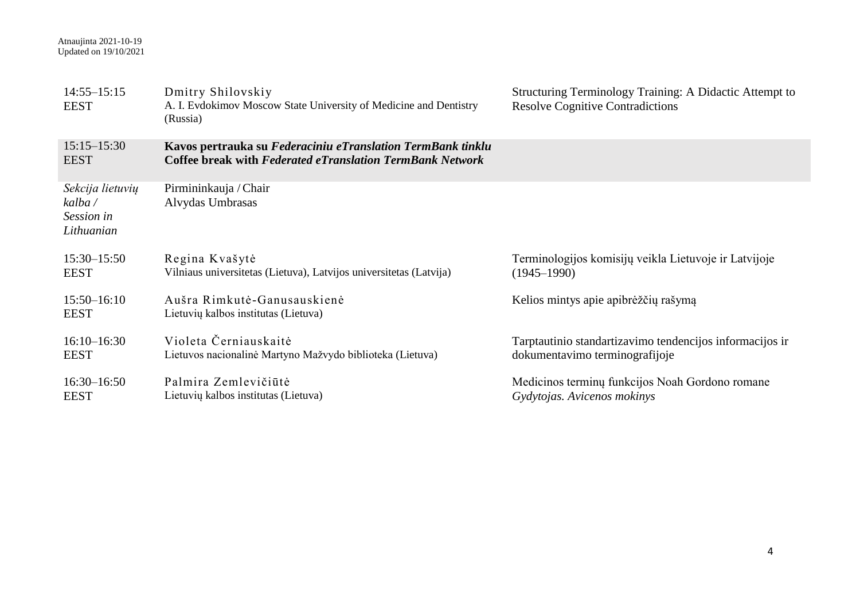| $14:55 - 15:15$<br><b>EEST</b>                          | Dmitry Shilovskiy<br>A. I. Evdokimov Moscow State University of Medicine and Dentistry<br>(Russia)                              | Structuring Terminology Training: A Didactic Attempt to<br><b>Resolve Cognitive Contradictions</b> |
|---------------------------------------------------------|---------------------------------------------------------------------------------------------------------------------------------|----------------------------------------------------------------------------------------------------|
| $15:15 - 15:30$<br><b>EEST</b>                          | Kavos pertrauka su Federaciniu eTranslation TermBank tinklu<br><b>Coffee break with Federated eTranslation TermBank Network</b> |                                                                                                    |
| Sekcija lietuvių<br>kalba /<br>Session in<br>Lithuanian | Pirmininkauja / Chair<br>Alvydas Umbrasas                                                                                       |                                                                                                    |
| $15:30 - 15:50$<br><b>EEST</b>                          | Regina Kvašytė<br>Vilniaus universitetas (Lietuva), Latvijos universitetas (Latvija)                                            | Terminologijos komisijų veikla Lietuvoje ir Latvijoje<br>$(1945 - 1990)$                           |
| $15:50 - 16:10$<br><b>EEST</b>                          | Aušra Rimkutė-Ganusauskienė<br>Lietuvių kalbos institutas (Lietuva)                                                             | Kelios mintys apie apibrėžčių rašymą                                                               |
| $16:10 - 16:30$<br><b>EEST</b>                          | Violeta Černiauskaitė<br>Lietuvos nacionalinė Martyno Mažvydo biblioteka (Lietuva)                                              | Tarptautinio standartizavimo tendencijos informacijos ir<br>dokumentavimo terminografijoje         |
| $16:30 - 16:50$<br><b>EEST</b>                          | Palmira Zemlevičiūtė<br>Lietuvių kalbos institutas (Lietuva)                                                                    | Medicinos terminų funkcijos Noah Gordono romane<br>Gydytojas. Avicenos mokinys                     |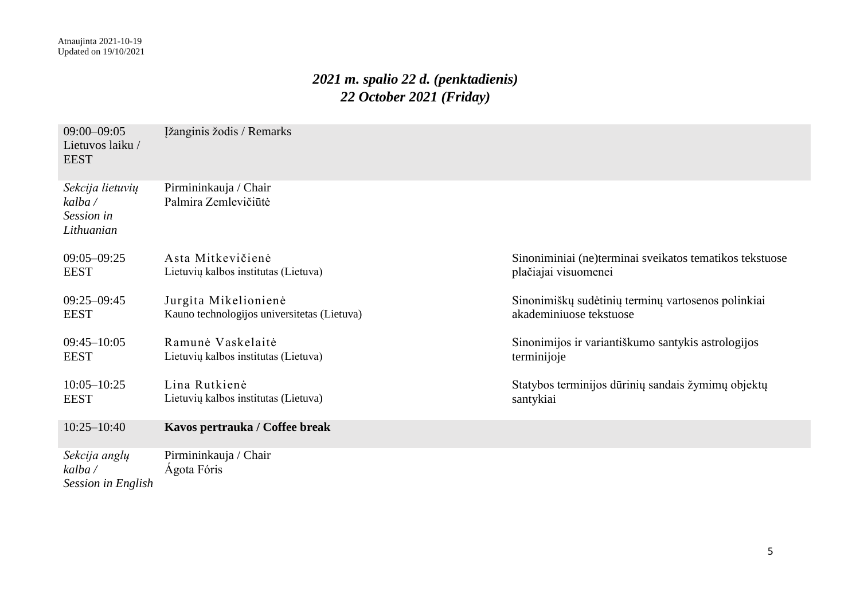# *2021 m. spalio 22 d. (penktadienis) 22 October 2021 (Friday)*

| $09:00 - 09:05$<br>Lietuvos laiku/<br><b>EEST</b>       | Ižanginis žodis / Remarks                                           |                                                                                 |
|---------------------------------------------------------|---------------------------------------------------------------------|---------------------------------------------------------------------------------|
| Sekcija lietuvių<br>kalba /<br>Session in<br>Lithuanian | Pirmininkauja / Chair<br>Palmira Zemlevičiūtė                       |                                                                                 |
| $09:05 - 09:25$<br><b>EEST</b>                          | Asta Mitkevičienė<br>Lietuvių kalbos institutas (Lietuva)           | Sinoniminiai (ne)terminai sveikatos tematikos tekstuose<br>plačiajai visuomenei |
| $09:25 - 09:45$<br><b>EEST</b>                          | Jurgita Mikelionienė<br>Kauno technologijos universitetas (Lietuva) | Sinonimiškų sudėtinių terminų vartosenos polinkiai<br>akademiniuose tekstuose   |
| $09:45 - 10:05$<br><b>EEST</b>                          | Ramunė Vaskelaitė<br>Lietuvių kalbos institutas (Lietuva)           | Sinonimijos ir variantiškumo santykis astrologijos<br>terminijoje               |
| $10:05 - 10:25$<br><b>EEST</b>                          | Lina Rutkienė<br>Lietuvių kalbos institutas (Lietuva)               | Statybos terminijos dūrinių sandais žymimų objektų<br>santykiai                 |
| $10:25 - 10:40$                                         | Kavos pertrauka / Coffee break                                      |                                                                                 |
| Sekcija anglų<br>kalba /<br>Session in English          | Pirmininkauja / Chair<br>Ágota Fóris                                |                                                                                 |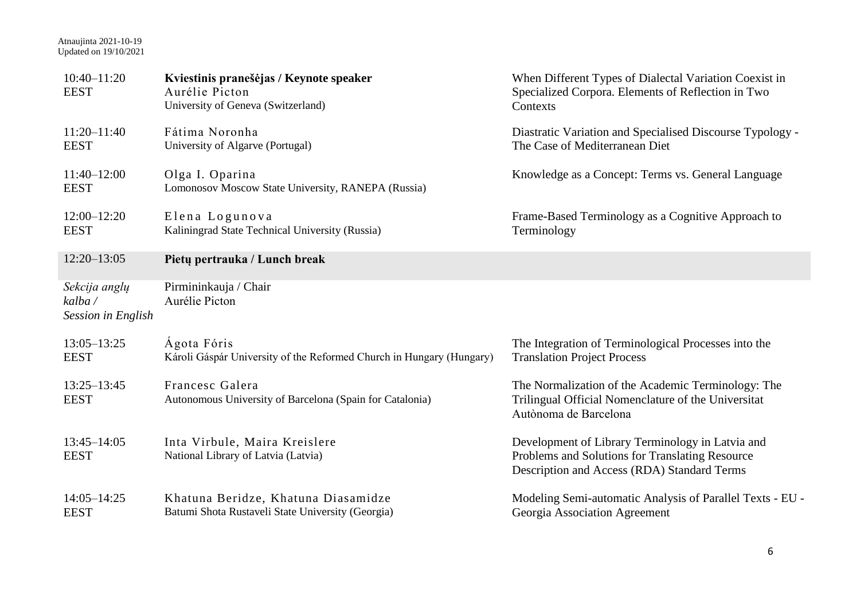#### Atnaujinta 2021-10-19 Updated on 19/10/2021

| $10:40 - 11:20$<br><b>EEST</b>                | Kviestinis pranešėjas / Keynote speaker<br>Aurélie Picton<br>University of Geneva (Switzerland) | When Different Types of Dialectal Variation Coexist in<br>Specialized Corpora. Elements of Reflection in Two<br>Contexts                           |
|-----------------------------------------------|-------------------------------------------------------------------------------------------------|----------------------------------------------------------------------------------------------------------------------------------------------------|
| $11:20 - 11:40$<br><b>EEST</b>                | Fátima Noronha<br>University of Algarve (Portugal)                                              | Diastratic Variation and Specialised Discourse Typology -<br>The Case of Mediterranean Diet                                                        |
| $11:40 - 12:00$<br><b>EEST</b>                | Olga I. Oparina<br>Lomonosov Moscow State University, RANEPA (Russia)                           | Knowledge as a Concept: Terms vs. General Language                                                                                                 |
| $12:00 - 12:20$<br><b>EEST</b>                | Elena Logunova<br>Kaliningrad State Technical University (Russia)                               | Frame-Based Terminology as a Cognitive Approach to<br>Terminology                                                                                  |
| $12:20 - 13:05$                               | Pietų pertrauka / Lunch break                                                                   |                                                                                                                                                    |
| Sekcija anglų<br>kalba/<br>Session in English | Pirmininkauja / Chair<br>Aurélie Picton                                                         |                                                                                                                                                    |
| $13:05 - 13:25$<br><b>EEST</b>                | Ágota Fóris<br>Károli Gáspár University of the Reformed Church in Hungary (Hungary)             | The Integration of Terminological Processes into the<br><b>Translation Project Process</b>                                                         |
| $13:25 - 13:45$<br><b>EEST</b>                | Francesc Galera<br>Autonomous University of Barcelona (Spain for Catalonia)                     | The Normalization of the Academic Terminology: The<br>Trilingual Official Nomenclature of the Universitat<br>Autònoma de Barcelona                 |
| $13:45 - 14:05$<br><b>EEST</b>                | Inta Virbule, Maira Kreislere<br>National Library of Latvia (Latvia)                            | Development of Library Terminology in Latvia and<br>Problems and Solutions for Translating Resource<br>Description and Access (RDA) Standard Terms |
| $14:05 - 14:25$<br><b>EEST</b>                | Khatuna Beridze, Khatuna Diasamidze<br>Batumi Shota Rustaveli State University (Georgia)        | Modeling Semi-automatic Analysis of Parallel Texts - EU -<br>Georgia Association Agreement                                                         |